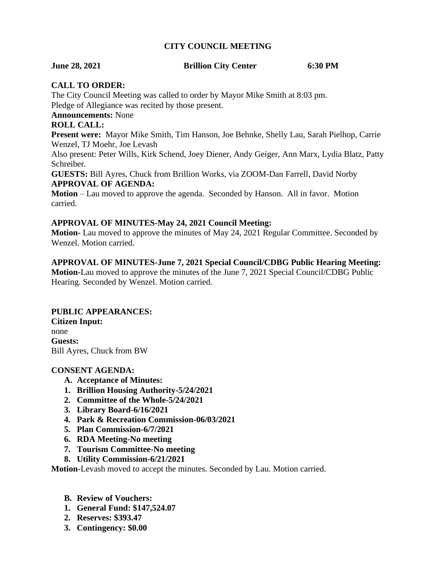#### **CITY COUNCIL MEETING**

#### **June 28, 2021 Brillion City Center 6:30 PM**

#### **CALL TO ORDER:**

The City Council Meeting was called to order by Mayor Mike Smith at 8:03 pm. Pledge of Allegiance was recited by those present.

**Announcements:** None

#### **ROLL CALL:**

**Present were:** Mayor Mike Smith, Tim Hanson, Joe Behnke, Shelly Lau, Sarah Pielhop, Carrie Wenzel, TJ Moehr, Joe Levash

Also present: Peter Wills, Kirk Schend, Joey Diener, Andy Geiger, Ann Marx, Lydia Blatz, Patty Schreiber.

**GUESTS:** Bill Ayres, Chuck from Brillion Works, via ZOOM-Dan Farrell, David Norby **APPROVAL OF AGENDA:**

**Motion** – Lau moved to approve the agenda. Seconded by Hanson. All in favor. Motion carried.

#### **APPROVAL OF MINUTES-May 24, 2021 Council Meeting:**

**Motion-** Lau moved to approve the minutes of May 24, 2021 Regular Committee. Seconded by Wenzel. Motion carried.

#### **APPROVAL OF MINUTES-June 7, 2021 Special Council/CDBG Public Hearing Meeting:**

**Motion-**Lau moved to approve the minutes of the June 7, 2021 Special Council/CDBG Public Hearing. Seconded by Wenzel. Motion carried.

#### **PUBLIC APPEARANCES:**

**Citizen Input:** none **Guests:** Bill Ayres, Chuck from BW

#### **CONSENT AGENDA:**

- **A. Acceptance of Minutes:**
- **1. Brillion Housing Authority-5/24/2021**
- **2. Committee of the Whole-5/24/2021**
- **3. Library Board-6/16/2021**
- **4. Park & Recreation Commission-06/03/2021**
- **5. Plan Commission-6/7/2021**
- **6. RDA Meeting-No meeting**
- **7. Tourism Committee-No meeting**
- **8. Utility Commission-6/21/2021**

**Motion-**Levash moved to accept the minutes. Seconded by Lau. Motion carried.

- **B. Review of Vouchers:**
- **1. General Fund: \$147,524.07**
- **2. Reserves: \$393.47**
- **3. Contingency: \$0.00**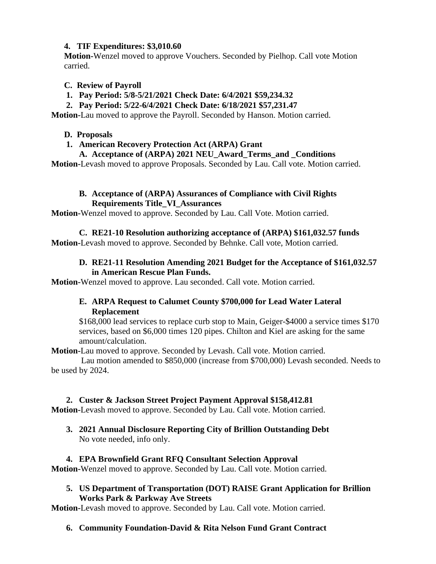# **4. TIF Expenditures: \$3,010.60**

**Motion-**Wenzel moved to approve Vouchers. Seconded by Pielhop. Call vote Motion carried.

# **C. Review of Payroll**

- **1. Pay Period: 5/8-5/21/2021 Check Date: 6/4/2021 \$59,234.32**
- **2. Pay Period: 5/22-6/4/2021 Check Date: 6/18/2021 \$57,231.47**

**Motion-**Lau moved to approve the Payroll. Seconded by Hanson. Motion carried.

# **D. Proposals**

# **1. American Recovery Protection Act (ARPA) Grant**

#### **A. Acceptance of (ARPA) 2021 NEU\_Award\_Terms\_and \_Conditions**

**Motion-**Levash moved to approve Proposals. Seconded by Lau. Call vote. Motion carried.

#### **B. Acceptance of (ARPA) Assurances of Compliance with Civil Rights Requirements Title\_VI\_Assurances**

**Motion-**Wenzel moved to approve. Seconded by Lau. Call Vote. Motion carried.

# **C. RE21-10 Resolution authorizing acceptance of (ARPA) \$161,032.57 funds**

**Motion-**Levash moved to approve. Seconded by Behnke. Call vote, Motion carried.

#### **D. RE21-11 Resolution Amending 2021 Budget for the Acceptance of \$161,032.57 in American Rescue Plan Funds.**

**Motion-**Wenzel moved to approve. Lau seconded. Call vote. Motion carried.

# **E. ARPA Request to Calumet County \$700,000 for Lead Water Lateral Replacement**

\$168,000 lead services to replace curb stop to Main, Geiger-\$4000 a service times \$170 services, based on \$6,000 times 120 pipes. Chilton and Kiel are asking for the same amount/calculation.

**Motion-**Lau moved to approve. Seconded by Levash. Call vote. Motion carried.

 Lau motion amended to \$850,000 (increase from \$700,000) Levash seconded. Needs to be used by 2024.

#### **2. Custer & Jackson Street Project Payment Approval \$158,412.81**

**Motion-**Levash moved to approve. Seconded by Lau. Call vote. Motion carried.

**3. 2021 Annual Disclosure Reporting City of Brillion Outstanding Debt** No vote needed, info only.

# **4. EPA Brownfield Grant RFQ Consultant Selection Approval**

**Motion-**Wenzel moved to approve. Seconded by Lau. Call vote. Motion carried.

#### **5. US Department of Transportation (DOT) RAISE Grant Application for Brillion Works Park & Parkway Ave Streets**

**Motion-**Levash moved to approve. Seconded by Lau. Call vote. Motion carried.

# **6. Community Foundation-David & Rita Nelson Fund Grant Contract**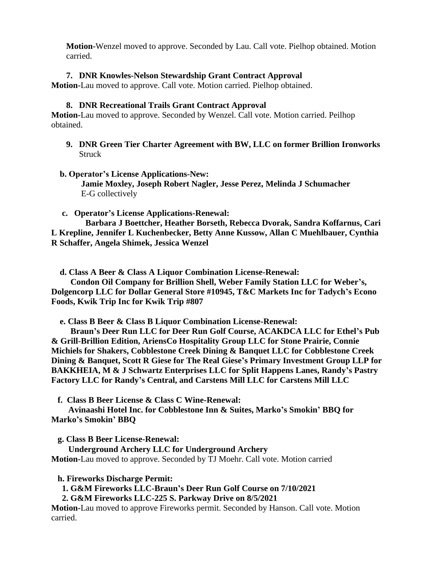**Motion-**Wenzel moved to approve. Seconded by Lau. Call vote. Pielhop obtained. Motion carried.

#### **7. DNR Knowles-Nelson Stewardship Grant Contract Approval**

**Motion-**Lau moved to approve. Call vote. Motion carried. Pielhop obtained.

#### **8. DNR Recreational Trails Grant Contract Approval**

**Motion-**Lau moved to approve. Seconded by Wenzel. Call vote. Motion carried. Peilhop obtained.

- **9. DNR Green Tier Charter Agreement with BW, LLC on former Brillion Ironworks Struck**
- **b. Operator's License Applications-New: Jamie Moxley, Joseph Robert Nagler, Jesse Perez, Melinda J Schumacher** E-G collectively
- **c. Operator's License Applications-Renewal:**

 **Barbara J Boettcher, Heather Borseth, Rebecca Dvorak, Sandra Koffarnus, Cari L Krepline, Jennifer L Kuchenbecker, Betty Anne Kussow, Allan C Muehlbauer, Cynthia R Schaffer, Angela Shimek, Jessica Wenzel**

 **d. Class A Beer & Class A Liquor Combination License-Renewal:**

 **Condon Oil Company for Brillion Shell, Weber Family Station LLC for Weber's, Dolgencorp LLC for Dollar General Store #10945, T&C Markets Inc for Tadych's Econo Foods, Kwik Trip Inc for Kwik Trip #807**

 **e. Class B Beer & Class B Liquor Combination License-Renewal:**

 **Braun's Deer Run LLC for Deer Run Golf Course, ACAKDCA LLC for Ethel's Pub & Grill-Brillion Edition, AriensCo Hospitality Group LLC for Stone Prairie, Connie Michiels for Shakers, Cobblestone Creek Dining & Banquet LLC for Cobblestone Creek Dining & Banquet, Scott R Giese for The Real Giese's Primary Investment Group LLP for BAKKHEIA, M & J Schwartz Enterprises LLC for Split Happens Lanes, Randy's Pastry Factory LLC for Randy's Central, and Carstens Mill LLC for Carstens Mill LLC**

 **f. Class B Beer License & Class C Wine-Renewal:**

 **Avinaashi Hotel Inc. for Cobblestone Inn & Suites, Marko's Smokin' BBQ for Marko's Smokin' BBQ**

 **g. Class B Beer License-Renewal:**

 **Underground Archery LLC for Underground Archery Motion-**Lau moved to approve. Seconded by TJ Moehr. Call vote. Motion carried

**h. Fireworks Discharge Permit:**

 **1. G&M Fireworks LLC-Braun's Deer Run Golf Course on 7/10/2021**

 **2. G&M Fireworks LLC-225 S. Parkway Drive on 8/5/2021**

**Motion-**Lau moved to approve Fireworks permit. Seconded by Hanson. Call vote. Motion carried.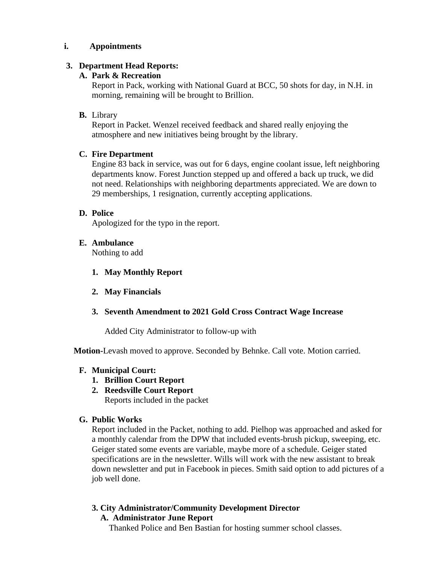### **i. Appointments**

#### **3. Department Head Reports:**

# **A. Park & Recreation**

Report in Pack, working with National Guard at BCC, 50 shots for day, in N.H. in morning, remaining will be brought to Brillion.

# **B.** Library

Report in Packet. Wenzel received feedback and shared really enjoying the atmosphere and new initiatives being brought by the library.

# **C. Fire Department**

Engine 83 back in service, was out for 6 days, engine coolant issue, left neighboring departments know. Forest Junction stepped up and offered a back up truck, we did not need. Relationships with neighboring departments appreciated. We are down to 29 memberships, 1 resignation, currently accepting applications.

# **D. Police**

Apologized for the typo in the report.

# **E. Ambulance**

Nothing to add

- **1. May Monthly Report**
- **2. May Financials**
- **3. Seventh Amendment to 2021 Gold Cross Contract Wage Increase**

Added City Administrator to follow-up with

**Motion-**Levash moved to approve. Seconded by Behnke. Call vote. Motion carried.

#### **F. Municipal Court:**

- **1. Brillion Court Report**
- **2. Reedsville Court Report**

Reports included in the packet

#### **G. Public Works**

Report included in the Packet, nothing to add. Pielhop was approached and asked for a monthly calendar from the DPW that included events-brush pickup, sweeping, etc. Geiger stated some events are variable, maybe more of a schedule. Geiger stated specifications are in the newsletter. Wills will work with the new assistant to break down newsletter and put in Facebook in pieces. Smith said option to add pictures of a job well done.

# **3. City Administrator/Community Development Director**

# **A. Administrator June Report**

Thanked Police and Ben Bastian for hosting summer school classes.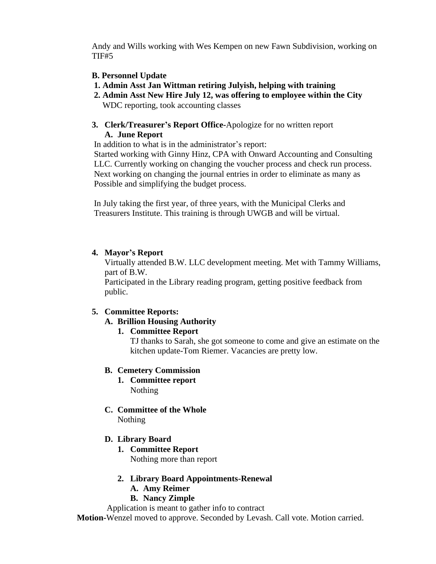Andy and Wills working with Wes Kempen on new Fawn Subdivision, working on TIF#5

- **B. Personnel Update**
- **1. Admin Asst Jan Wittman retiring Julyish, helping with training**
- **2. Admin Asst New Hire July 12, was offering to employee within the City** WDC reporting, took accounting classes
- **3. Clerk/Treasurer's Report Office-**Apologize for no written report **A. June Report**

In addition to what is in the administrator's report:

 Started working with Ginny Hinz, CPA with Onward Accounting and Consulting LLC. Currently working on changing the voucher process and check run process. Next working on changing the journal entries in order to eliminate as many as Possible and simplifying the budget process.

 In July taking the first year, of three years, with the Municipal Clerks and Treasurers Institute. This training is through UWGB and will be virtual.

#### **4. Mayor's Report**

Virtually attended B.W. LLC development meeting. Met with Tammy Williams, part of B.W.

Participated in the Library reading program, getting positive feedback from public.

#### **5. Committee Reports:**

**A. Brillion Housing Authority**

#### **1. Committee Report**

TJ thanks to Sarah, she got someone to come and give an estimate on the kitchen update-Tom Riemer. Vacancies are pretty low.

#### **B. Cemetery Commission**

- **1. Committee report** Nothing
- **C. Committee of the Whole** Nothing

#### **D. Library Board**

- **1. Committee Report** Nothing more than report
- **2. Library Board Appointments-Renewal**
	- **A. Amy Reimer**
	- **B. Nancy Zimple**

Application is meant to gather info to contract **Motion-**Wenzel moved to approve. Seconded by Levash. Call vote. Motion carried.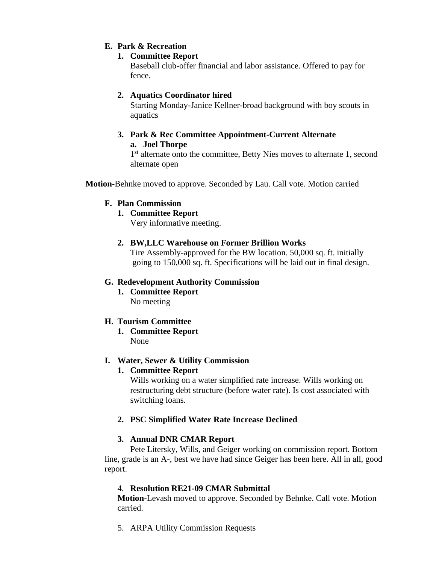# **E. Park & Recreation**

# **1. Committee Report**

Baseball club-offer financial and labor assistance. Offered to pay for fence.

# **2. Aquatics Coordinator hired**

Starting Monday-Janice Kellner-broad background with boy scouts in aquatics

#### **3. Park & Rec Committee Appointment-Current Alternate a. Joel Thorpe**

1<sup>st</sup> alternate onto the committee, Betty Nies moves to alternate 1, second alternate open

**Motion-**Behnke moved to approve. Seconded by Lau. Call vote. Motion carried

#### **F. Plan Commission**

# **1. Committee Report**

Very informative meeting.

**2. BW,LLC Warehouse on Former Brillion Works**

Tire Assembly-approved for the BW location. 50,000 sq. ft. initially going to 150,000 sq. ft. Specifications will be laid out in final design.

# **G. Redevelopment Authority Commission**

**1. Committee Report** No meeting

#### **H. Tourism Committee**

**1. Committee Report** None

#### **I. Water, Sewer & Utility Commission**

#### **1. Committee Report**

Wills working on a water simplified rate increase. Wills working on restructuring debt structure (before water rate). Is cost associated with switching loans.

#### **2. PSC Simplified Water Rate Increase Declined**

#### **3. Annual DNR CMAR Report**

Pete Litersky, Wills, and Geiger working on commission report. Bottom line, grade is an A-, best we have had since Geiger has been here. All in all, good report.

#### 4. **Resolution RE21-09 CMAR Submittal**

**Motion-**Levash moved to approve. Seconded by Behnke. Call vote. Motion carried.

5. ARPA Utility Commission Requests